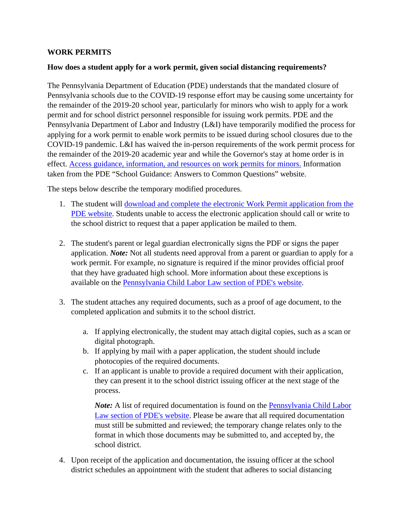## **WORK PERMITS**

## **How does a student apply for a work permit, given social distancing requirements?**

The Pennsylvania Department of Education (PDE) understands that the mandated closure of Pennsylvania schools due to the COVID-19 response effort may be causing some uncertainty for the remainder of the 2019-20 school year, particularly for minors who wish to apply for a work permit and for school district personnel responsible for issuing work permits. PDE and the Pennsylvania Department of Labor and Industry (L&I) have temporarily modified the process for applying for a work permit to enable work permits to be issued during school closures due to the COVID-19 pandemic. L&I has waived the in-person requirements of the work permit process for the remainder of the 2019-20 academic year and while the Governor's stay at home order is in effect. [Access guidance, information, and resources on work permits for minors.](https://www.education.pa.gov/Schools/safeschools/emergencyplanning/COVID-19/Pages/Work-Permits-for-Minors.aspx) Information taken from the PDE "School Guidance: Answers to Common Questions" website.

The steps below describe the temporary modified procedures.

- 1. The student will [download and complete the electronic Work Permit application from the](https://www.education.pa.gov/Documents/Codes%20and%20Regulations/Application%20for%20Work%20Permit.pdf)  [PDE website.](https://www.education.pa.gov/Documents/Codes%20and%20Regulations/Application%20for%20Work%20Permit.pdf) Students unable to access the electronic application should call or write to the school district to request that a paper application be mailed to them.
- 2. The student's parent or legal guardian electronically signs the PDF or signs the paper application. *Note:* Not all students need approval from a parent or guardian to apply for a work permit. For example, no signature is required if the minor provides official proof that they have graduated high school. More information about these exceptions is available on the [Pennsylvania Child Labor Law section of PDE's website.](https://www.education.pa.gov/Pages/Codes%20and%20Regulations/Child-Labor-Law.aspx)
- 3. The student attaches any required documents, such as a proof of age document, to the completed application and submits it to the school district.
	- a. If applying electronically, the student may attach digital copies, such as a scan or digital photograph.
	- b. If applying by mail with a paper application, the student should include photocopies of the required documents.
	- c. If an applicant is unable to provide a required document with their application, they can present it to the school district issuing officer at the next stage of the process.

*Note:* A list of required documentation is found on the **Pennsylvania Child Labor** [Law section of PDE's website.](https://www.education.pa.gov/Pages/Codes%20and%20Regulations/Child-Labor-Law.aspx) Please be aware that all required documentation must still be submitted and reviewed; the temporary change relates only to the format in which those documents may be submitted to, and accepted by, the school district.

4. Upon receipt of the application and documentation, the issuing officer at the school district schedules an appointment with the student that adheres to social distancing